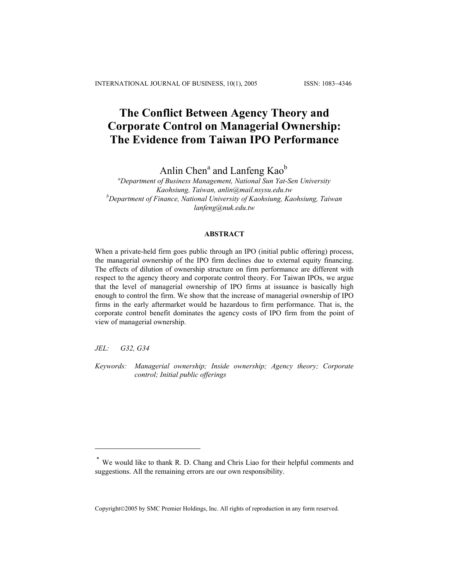# **The Conflict Between Agency Theory and Corporate Control on Managerial Ownership: The Evidence from Taiwan IPO Performance**

Anlin Chen<sup>a</sup> and Lanfeng Kao<sup>b</sup>

*a Department of Business Management, National Sun Yat-Sen University Kaohsiung, Taiwan, anlin@mail.nsysu.edu.tw b Department of Finance, National University of Kaohsiung, Kaohsiung, Taiwan lanfeng@nuk.edu.tw*

## **ABSTRACT**

When a private-held firm goes public through an IPO (initial public offering) process, the managerial ownership of the IPO firm declines due to external equity financing. The effects of dilution of ownership structure on firm performance are different with respect to the agency theory and corporate control theory. For Taiwan IPOs, we argue that the level of managerial ownership of IPO firms at issuance is basically high enough to control the firm. We show that the increase of managerial ownership of IPO firms in the early aftermarket would be hazardous to firm performance. That is, the corporate control benefit dominates the agency costs of IPO firm from the point of view of managerial ownership.

*JEL: G32, G34* 

1

*Keywords: Managerial ownership; Inside ownership; Agency theory; Corporate control; Initial public offerings* 

Copyright©2005 by SMC Premier Holdings, Inc. All rights of reproduction in any form reserved.

<sup>\*</sup> We would like to thank R. D. Chang and Chris Liao for their helpful comments and suggestions. All the remaining errors are our own responsibility.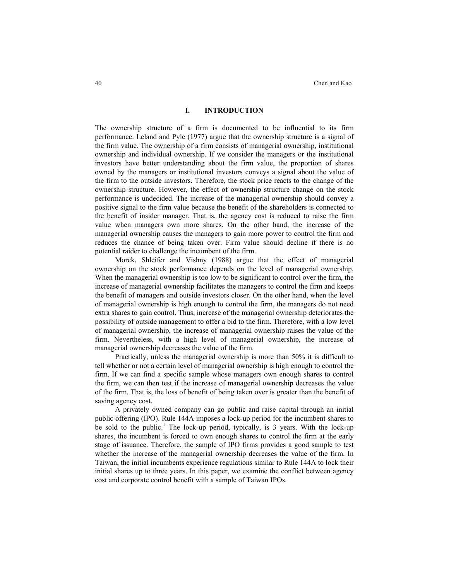#### **I. INTRODUCTION**

The ownership structure of a firm is documented to be influential to its firm performance. Leland and Pyle (1977) argue that the ownership structure is a signal of the firm value. The ownership of a firm consists of managerial ownership, institutional ownership and individual ownership. If we consider the managers or the institutional investors have better understanding about the firm value, the proportion of shares owned by the managers or institutional investors conveys a signal about the value of the firm to the outside investors. Therefore, the stock price reacts to the change of the ownership structure. However, the effect of ownership structure change on the stock performance is undecided. The increase of the managerial ownership should convey a positive signal to the firm value because the benefit of the shareholders is connected to the benefit of insider manager. That is, the agency cost is reduced to raise the firm value when managers own more shares. On the other hand, the increase of the managerial ownership causes the managers to gain more power to control the firm and reduces the chance of being taken over. Firm value should decline if there is no potential raider to challenge the incumbent of the firm.

Morck, Shleifer and Vishny (1988) argue that the effect of managerial ownership on the stock performance depends on the level of managerial ownership. When the managerial ownership is too low to be significant to control over the firm, the increase of managerial ownership facilitates the managers to control the firm and keeps the benefit of managers and outside investors closer. On the other hand, when the level of managerial ownership is high enough to control the firm, the managers do not need extra shares to gain control. Thus, increase of the managerial ownership deteriorates the possibility of outside management to offer a bid to the firm. Therefore, with a low level of managerial ownership, the increase of managerial ownership raises the value of the firm. Nevertheless, with a high level of managerial ownership, the increase of managerial ownership decreases the value of the firm.

Practically, unless the managerial ownership is more than 50% it is difficult to tell whether or not a certain level of managerial ownership is high enough to control the firm. If we can find a specific sample whose managers own enough shares to control the firm, we can then test if the increase of managerial ownership decreases the value of the firm. That is, the loss of benefit of being taken over is greater than the benefit of saving agency cost.

A privately owned company can go public and raise capital through an initial public offering (IPO). Rule 144A imposes a lock-up period for the incumbent shares to be sold to the public.<sup>1</sup> The lock-up period, typically, is 3 years. With the lock-up shares, the incumbent is forced to own enough shares to control the firm at the early stage of issuance. Therefore, the sample of IPO firms provides a good sample to test whether the increase of the managerial ownership decreases the value of the firm. In Taiwan, the initial incumbents experience regulations similar to Rule 144A to lock their initial shares up to three years. In this paper, we examine the conflict between agency cost and corporate control benefit with a sample of Taiwan IPOs.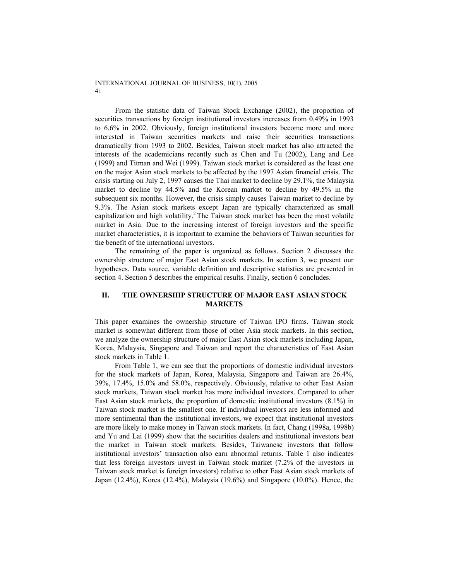From the statistic data of Taiwan Stock Exchange (2002), the proportion of securities transactions by foreign institutional investors increases from 0.49% in 1993 to 6.6% in 2002. Obviously, foreign institutional investors become more and more interested in Taiwan securities markets and raise their securities transactions dramatically from 1993 to 2002. Besides, Taiwan stock market has also attracted the interests of the academicians recently such as Chen and Tu (2002), Lang and Lee (1999) and Titman and Wei (1999). Taiwan stock market is considered as the least one on the major Asian stock markets to be affected by the 1997 Asian financial crisis. The crisis starting on July 2, 1997 causes the Thai market to decline by 29.1%, the Malaysia market to decline by 44.5% and the Korean market to decline by 49.5% in the subsequent six months. However, the crisis simply causes Taiwan market to decline by 9.3%. The Asian stock markets except Japan are typically characterized as small capitalization and high volatility.<sup>2</sup> The Taiwan stock market has been the most volatile market in Asia. Due to the increasing interest of foreign investors and the specific market characteristics, it is important to examine the behaviors of Taiwan securities for the benefit of the international investors.

The remaining of the paper is organized as follows. Section 2 discusses the ownership structure of major East Asian stock markets. In section 3, we present our hypotheses. Data source, variable definition and descriptive statistics are presented in section 4. Section 5 describes the empirical results. Finally, section 6 concludes.

# **II. THE OWNERSHIP STRUCTURE OF MAJOR EAST ASIAN STOCK MARKETS**

This paper examines the ownership structure of Taiwan IPO firms. Taiwan stock market is somewhat different from those of other Asia stock markets. In this section, we analyze the ownership structure of major East Asian stock markets including Japan, Korea, Malaysia, Singapore and Taiwan and report the characteristics of East Asian stock markets in Table 1.

From Table 1, we can see that the proportions of domestic individual investors for the stock markets of Japan, Korea, Malaysia, Singapore and Taiwan are 26.4%, 39%, 17.4%, 15.0% and 58.0%, respectively. Obviously, relative to other East Asian stock markets, Taiwan stock market has more individual investors. Compared to other East Asian stock markets, the proportion of domestic institutional investors (8.1%) in Taiwan stock market is the smallest one. If individual investors are less informed and more sentimental than the institutional investors, we expect that institutional investors are more likely to make money in Taiwan stock markets. In fact, Chang (1998a, 1998b) and Yu and Lai (1999) show that the securities dealers and institutional investors beat the market in Taiwan stock markets. Besides, Taiwanese investors that follow institutional investors' transaction also earn abnormal returns. Table 1 also indicates that less foreign investors invest in Taiwan stock market (7.2% of the investors in Taiwan stock market is foreign investors) relative to other East Asian stock markets of Japan (12.4%), Korea (12.4%), Malaysia (19.6%) and Singapore (10.0%). Hence, the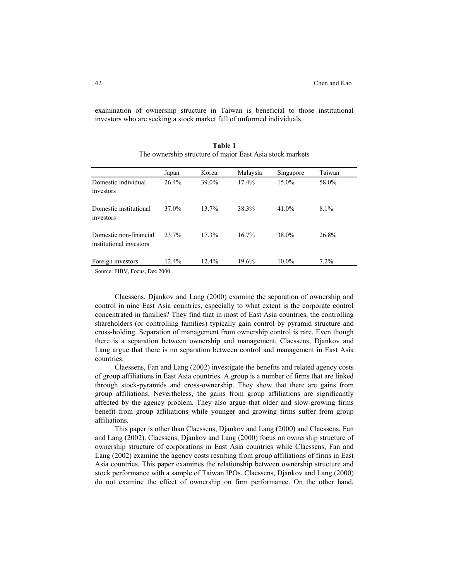examination of ownership structure in Taiwan is beneficial to those institutional investors who are seeking a stock market full of unformed individuals.

|                                                   | Japan    | Korea    | Malaysia | Singapore | Taiwan  |
|---------------------------------------------------|----------|----------|----------|-----------|---------|
| Domestic individual<br>investors                  | $26.4\%$ | 39.0%    | 17.4%    | $15.0\%$  | 58.0%   |
| Domestic institutional<br>investors               | 37.0%    | $13.7\%$ | 38.3%    | $41.0\%$  | 8.1%    |
| Domestic non-financial<br>institutional investors | $23.7\%$ | 17.3%    | 16.7%    | 38.0%     | 26.8%   |
| Foreign investors                                 | 12.4%    | $12.4\%$ | 19.6%    | $10.0\%$  | $7.2\%$ |

|                                                          | Table 1 |  |
|----------------------------------------------------------|---------|--|
| The ownership structure of major East Asia stock markets |         |  |

Source: FIBV, Focus, Dec 2000.

Claessens, Djankov and Lang (2000) examine the separation of ownership and control in nine East Asia countries, especially to what extent is the corporate control concentrated in families? They find that in most of East Asia countries, the controlling shareholders (or controlling families) typically gain control by pyramid structure and cross-holding. Separation of management from ownership control is rare. Even though there is a separation between ownership and management, Claessens, Djankov and Lang argue that there is no separation between control and management in East Asia countries.

Claessens, Fan and Lang (2002) investigate the benefits and related agency costs of group affiliations in East Asia countries. A group is a number of firms that are linked through stock-pyramids and cross-ownership. They show that there are gains from group affiliations. Nevertheless, the gains from group affiliations are significantly affected by the agency problem. They also argue that older and slow-growing firms benefit from group affiliations while younger and growing firms suffer from group affiliations.

This paper is other than Claessens, Djankov and Lang (2000) and Claessens, Fan and Lang (2002). Claessens, Djankov and Lang (2000) focus on ownership structure of ownership structure of corporations in East Asia countries while Claessens, Fan and Lang (2002) examine the agency costs resulting from group affiliations of firms in East Asia countries. This paper examines the relationship between ownership structure and stock performance with a sample of Taiwan IPOs. Claessens, Djankov and Lang (2000) do not examine the effect of ownership on firm performance. On the other hand,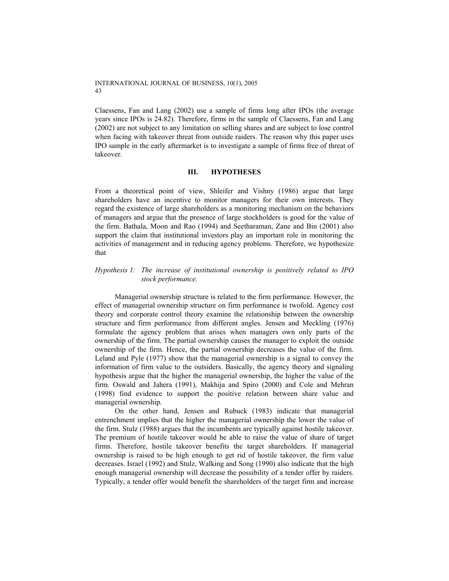Claessens, Fan and Lang (2002) use a sample of firms long after IPOs (the average years since IPOs is 24.82). Therefore, firms in the sample of Claessens, Fan and Lang (2002) are not subject to any limitation on selling shares and are subject to lose control when facing with takeover threat from outside raiders. The reason why this paper uses IPO sample in the early aftermarket is to investigate a sample of firms free of threat of takeover.

#### **III. HYPOTHESES**

From a theoretical point of view, Shleifer and Vishny (1986) argue that large shareholders have an incentive to monitor managers for their own interests. They regard the existence of large shareholders as a monitoring mechanism on the behaviors of managers and argue that the presence of large stockholders is good for the value of the firm. Bathala, Moon and Rao (1994) and Seetharaman, Zane and Bin (2001) also support the claim that institutional investors play an important role in monitoring the activities of management and in reducing agency problems. Therefore, we hypothesize that

## *Hypothesis 1: The increase of institutional ownership is positively related to IPO stock performance.*

Managerial ownership structure is related to the firm performance. However, the effect of managerial ownership structure on firm performance is twofold. Agency cost theory and corporate control theory examine the relationship between the ownership structure and firm performance from different angles. Jensen and Meckling (1976) formulate the agency problem that arises when managers own only parts of the ownership of the firm. The partial ownership causes the manager to exploit the outside ownership of the firm. Hence, the partial ownership decreases the value of the firm. Leland and Pyle (1977) show that the managerial ownership is a signal to convey the information of firm value to the outsiders. Basically, the agency theory and signaling hypothesis argue that the higher the managerial ownership, the higher the value of the firm. Oswald and Jahera (1991), Makhija and Spiro (2000) and Cole and Mehran (1998) find evidence to support the positive relation between share value and managerial ownership.

On the other hand, Jensen and Rubuck (1983) indicate that managerial entrenchment implies that the higher the managerial ownership the lower the value of the firm. Stulz (1988) argues that the incumbents are typically against hostile takeover. The premium of hostile takeover would be able to raise the value of share of target firms. Therefore, hostile takeover benefits the target shareholders. If managerial ownership is raised to be high enough to get rid of hostile takeover, the firm value decreases. Israel (1992) and Stulz, Walking and Song (1990) also indicate that the high enough managerial ownership will decrease the possibility of a tender offer by raiders. Typically, a tender offer would benefit the shareholders of the target firm and increase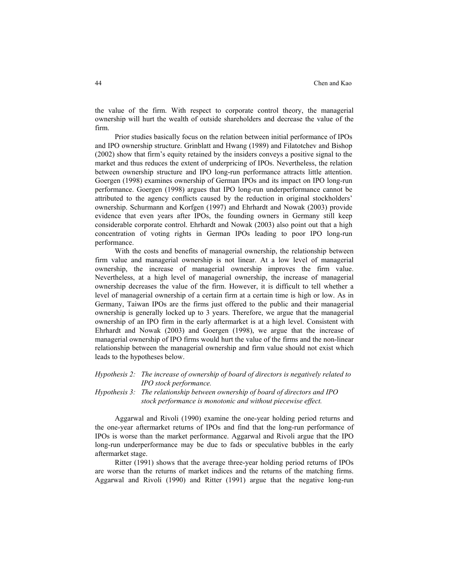the value of the firm. With respect to corporate control theory, the managerial ownership will hurt the wealth of outside shareholders and decrease the value of the firm.

Prior studies basically focus on the relation between initial performance of IPOs and IPO ownership structure. Grinblatt and Hwang (1989) and Filatotchev and Bishop (2002) show that firm's equity retained by the insiders conveys a positive signal to the market and thus reduces the extent of underpricing of IPOs. Nevertheless, the relation between ownership structure and IPO long-run performance attracts little attention. Goergen (1998) examines ownership of German IPOs and its impact on IPO long-run performance. Goergen (1998) argues that IPO long-run underperformance cannot be attributed to the agency conflicts caused by the reduction in original stockholders' ownership. Schurmann and Korfgen (1997) and Ehrhardt and Nowak (2003) provide evidence that even years after IPOs, the founding owners in Germany still keep considerable corporate control. Ehrhardt and Nowak (2003) also point out that a high concentration of voting rights in German IPOs leading to poor IPO long-run performance.

With the costs and benefits of managerial ownership, the relationship between firm value and managerial ownership is not linear. At a low level of managerial ownership, the increase of managerial ownership improves the firm value. Nevertheless, at a high level of managerial ownership, the increase of managerial ownership decreases the value of the firm. However, it is difficult to tell whether a level of managerial ownership of a certain firm at a certain time is high or low. As in Germany, Taiwan IPOs are the firms just offered to the public and their managerial ownership is generally locked up to 3 years. Therefore, we argue that the managerial ownership of an IPO firm in the early aftermarket is at a high level. Consistent with Ehrhardt and Nowak (2003) and Goergen (1998), we argue that the increase of managerial ownership of IPO firms would hurt the value of the firms and the non-linear relationship between the managerial ownership and firm value should not exist which leads to the hypotheses below.

- *Hypothesis 2: The increase of ownership of board of directors is negatively related to IPO stock performance.*
- *Hypothesis 3: The relationship between ownership of board of directors and IPO stock performance is monotonic and without piecewise effect.*

Aggarwal and Rivoli (1990) examine the one-year holding period returns and the one-year aftermarket returns of IPOs and find that the long-run performance of IPOs is worse than the market performance. Aggarwal and Rivoli argue that the IPO long-run underperformance may be due to fads or speculative bubbles in the early aftermarket stage.

Ritter (1991) shows that the average three-year holding period returns of IPOs are worse than the returns of market indices and the returns of the matching firms. Aggarwal and Rivoli (1990) and Ritter (1991) argue that the negative long-run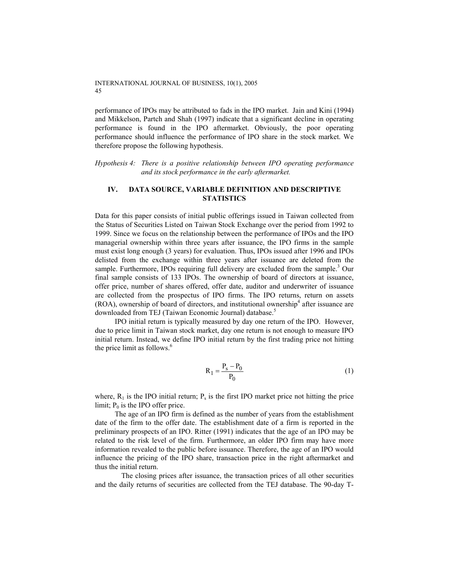performance of IPOs may be attributed to fads in the IPO market. Jain and Kini (1994) and Mikkelson, Partch and Shah (1997) indicate that a significant decline in operating performance is found in the IPO aftermarket. Obviously, the poor operating performance should influence the performance of IPO share in the stock market. We therefore propose the following hypothesis.

*Hypothesis 4: There is a positive relationship between IPO operating performance and its stock performance in the early aftermarket.* 

## **IV. DATA SOURCE, VARIABLE DEFINITION AND DESCRIPTIVE STATISTICS**

Data for this paper consists of initial public offerings issued in Taiwan collected from the Status of Securities Listed on Taiwan Stock Exchange over the period from 1992 to 1999. Since we focus on the relationship between the performance of IPOs and the IPO managerial ownership within three years after issuance, the IPO firms in the sample must exist long enough (3 years) for evaluation. Thus, IPOs issued after 1996 and IPOs delisted from the exchange within three years after issuance are deleted from the sample. Furthermore, IPOs requiring full delivery are excluded from the sample.<sup>3</sup> Our final sample consists of 133 IPOs. The ownership of board of directors at issuance, offer price, number of shares offered, offer date, auditor and underwriter of issuance are collected from the prospectus of IPO firms. The IPO returns, return on assets (ROA), ownership of board of directors, and institutional ownership<sup>4</sup> after issuance are downloaded from TEJ (Taiwan Economic Journal) database.<sup>5</sup>

IPO initial return is typically measured by day one return of the IPO. However, due to price limit in Taiwan stock market, day one return is not enough to measure IPO initial return. Instead, we define IPO initial return by the first trading price not hitting the price limit as follows.<sup>6</sup>

$$
R_1 = \frac{P_s - P_0}{P_0} \tag{1}
$$

where,  $R_1$  is the IPO initial return;  $P_s$  is the first IPO market price not hitting the price limit;  $P_0$  is the IPO offer price.

The age of an IPO firm is defined as the number of years from the establishment date of the firm to the offer date. The establishment date of a firm is reported in the preliminary prospects of an IPO. Ritter (1991) indicates that the age of an IPO may be related to the risk level of the firm. Furthermore, an older IPO firm may have more information revealed to the public before issuance. Therefore, the age of an IPO would influence the pricing of the IPO share, transaction price in the right aftermarket and thus the initial return.

The closing prices after issuance, the transaction prices of all other securities and the daily returns of securities are collected from the TEJ database. The 90-day T-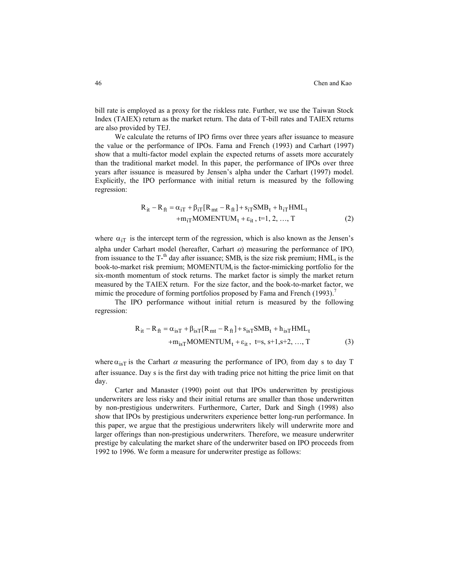bill rate is employed as a proxy for the riskless rate. Further, we use the Taiwan Stock Index (TAIEX) return as the market return. The data of T-bill rates and TAIEX returns are also provided by TEJ.

We calculate the returns of IPO firms over three years after issuance to measure the value or the performance of IPOs. Fama and French (1993) and Carhart (1997) show that a multi-factor model explain the expected returns of assets more accurately than the traditional market model. In this paper, the performance of IPOs over three years after issuance is measured by Jensen's alpha under the Carhart (1997) model. Explicitly, the IPO performance with initial return is measured by the following regression:

$$
R_{it} - R_{ft} = \alpha_{iT} + \beta_{iT} [R_{mt} - R_{ft}] + s_{iT} SMB_t + h_{iT} HML_t
$$
  
+
$$
+ m_{iT} MOMENTUM_t + \varepsilon_{it}, t=1, 2, ..., T
$$
 (2)

where  $\alpha_{iT}$  is the intercept term of the regression, which is also known as the Jensen's alpha under Carhart model (hereafter, Carhart  $\alpha$ ) measuring the performance of IPO<sub>i</sub> from issuance to the T-<sup>th</sup> day after issuance; SMB<sub>t</sub> is the size risk premium;  $HML_t$  is the book-to-market risk premium; MOMENTUM<sub>t</sub> is the factor-mimicking portfolio for the six-month momentum of stock returns. The market factor is simply the market return measured by the TAIEX return. For the size factor, and the book-to-market factor, we mimic the procedure of forming portfolios proposed by Fama and French  $(1993)$ .<sup>7</sup>

The IPO performance without initial return is measured by the following regression:

$$
R_{it} - R_{ft} = \alpha_{isT} + \beta_{isT} [R_{mt} - R_{ft}] + s_{isT} SMB_t + h_{isT} HML_t
$$
  
+
$$
+ m_{isT} MOMENTUM_t + \varepsilon_{it}, t = s, s+1, s+2, ..., T
$$
 (3)

where  $\alpha_{\text{isT}}$  is the Carhart  $\alpha$  measuring the performance of IPO<sub>i</sub> from day s to day T after issuance. Day s is the first day with trading price not hitting the price limit on that day.

Carter and Manaster (1990) point out that IPOs underwritten by prestigious underwriters are less risky and their initial returns are smaller than those underwritten by non-prestigious underwriters. Furthermore, Carter, Dark and Singh (1998) also show that IPOs by prestigious underwriters experience better long-run performance. In this paper, we argue that the prestigious underwriters likely will underwrite more and larger offerings than non-prestigious underwriters. Therefore, we measure underwriter prestige by calculating the market share of the underwriter based on IPO proceeds from 1992 to 1996. We form a measure for underwriter prestige as follows: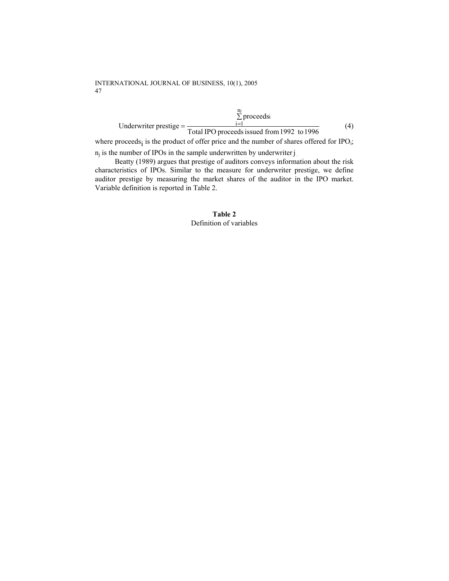Underwriter prestige = 
$$
\frac{\sum_{i=1}^{nj} \text{proceeds}}{\text{Total IPC proceeds issued from 1992 to 1996}} \tag{4}
$$

where proceeds<sub>i</sub> is the product of offer price and the number of shares offered for IPO<sub>i</sub>;  $n_i$  is the number of IPOs in the sample underwritten by underwriter  $j_i$ 

Beatty (1989) argues that prestige of auditors conveys information about the risk characteristics of IPOs. Similar to the measure for underwriter prestige, we define auditor prestige by measuring the market shares of the auditor in the IPO market. Variable definition is reported in Table 2.

> **Table 2** Definition of variables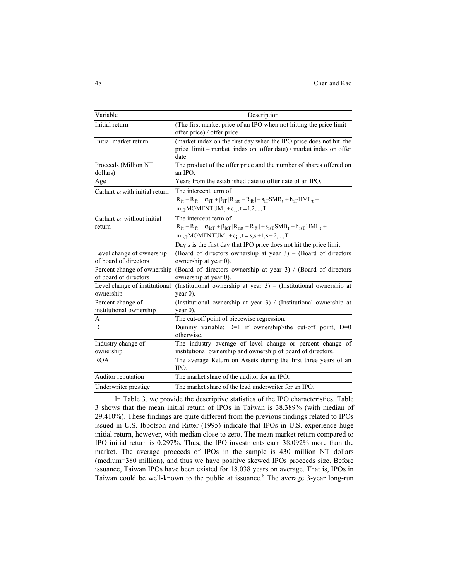| Variable                             | Description                                                                                        |
|--------------------------------------|----------------------------------------------------------------------------------------------------|
| Initial return                       | (The first market price of an IPO when not hitting the price limit -                               |
|                                      | offer price) / offer price                                                                         |
| Initial market return                | (market index on the first day when the IPO price does not hit the                                 |
|                                      | price limit - market index on offer date) / market index on offer                                  |
|                                      | date                                                                                               |
| Proceeds (Million NT                 | The product of the offer price and the number of shares offered on                                 |
| dollars)                             | an IPO.                                                                                            |
| Age                                  | Years from the established date to offer date of an IPO.                                           |
| Carhart $\alpha$ with initial return | The intercept term of                                                                              |
|                                      | $R_{it} - R_{ft} = \alpha_{iT} + \beta_{iT} [R_{mt} - R_{ft}] + s_{iT} SMB_t + h_{iT} HML_t +$     |
|                                      | $m_{iT}$ MOMENTUM <sub>t</sub> + $\varepsilon_{it}$ , t = 1,2,, T                                  |
| Carhart $\alpha$ without initial     | The intercept term of                                                                              |
| return                               | $R_{it} - R_{ft} = \alpha_{isT} + \beta_{isT} [R_{mt} - R_{ft}] + s_{isT} SMB_t + h_{isT} HML_t +$ |
|                                      | $m_{isT}$ MOMENTUM <sub>t</sub> + $\varepsilon_{it}$ , t = s, s + 1, s + 2,, T                     |
|                                      | Day $s$ is the first day that IPO price does not hit the price limit.                              |
| Level change of ownership            | (Board of directors ownership at year $3$ ) – (Board of directors                                  |
| of board of directors                | ownership at year 0).                                                                              |
| Percent change of ownership          | (Board of directors ownership at year 3) / (Board of directors                                     |
| of board of directors                | ownership at year 0).                                                                              |
| Level change of institutional        | (Institutional ownership at year $3$ ) – (Institutional ownership at                               |
| ownership                            | year $0$ ).                                                                                        |
| Percent change of                    | (Institutional ownership at year 3) / (Institutional ownership at                                  |
| institutional ownership              | year $0$ ).                                                                                        |
| A                                    | The cut-off point of piecewise regression.                                                         |
| D                                    | Dummy variable; D=1 if ownership>the cut-off point, D=0                                            |
|                                      | otherwise.                                                                                         |
| Industry change of                   | The industry average of level change or percent change of                                          |
| ownership                            | institutional ownership and ownership of board of directors.                                       |
| <b>ROA</b>                           | The average Return on Assets during the first three years of an                                    |
|                                      | IPO.                                                                                               |
| Auditor reputation                   | The market share of the auditor for an IPO.                                                        |
| Underwriter prestige                 | The market share of the lead underwriter for an IPO.                                               |

In Table 3, we provide the descriptive statistics of the IPO characteristics. Table 3 shows that the mean initial return of IPOs in Taiwan is 38.389% (with median of 29.410%). These findings are quite different from the previous findings related to IPOs issued in U.S. Ibbotson and Ritter (1995) indicate that IPOs in U.S. experience huge initial return, however, with median close to zero. The mean market return compared to IPO initial return is 0.297%. Thus, the IPO investments earn 38.092% more than the market. The average proceeds of IPOs in the sample is 430 million NT dollars (medium=380 million), and thus we have positive skewed IPOs proceeds size. Before issuance, Taiwan IPOs have been existed for 18.038 years on average. That is, IPOs in Taiwan could be well-known to the public at issuance.<sup>8</sup> The average 3-year long-run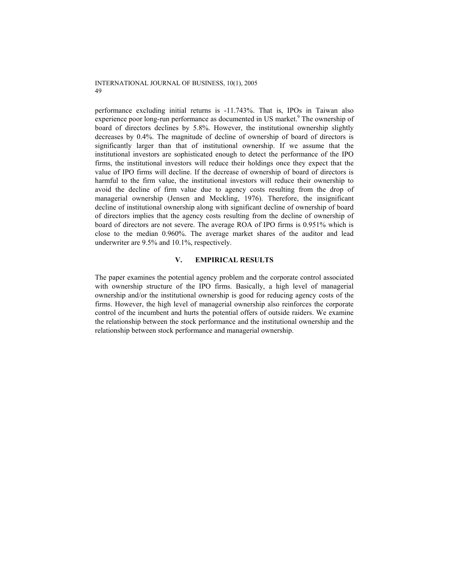performance excluding initial returns is -11.743%. That is, IPOs in Taiwan also experience poor long-run performance as documented in US market.<sup>9</sup> The ownership of board of directors declines by 5.8%. However, the institutional ownership slightly decreases by 0.4%. The magnitude of decline of ownership of board of directors is significantly larger than that of institutional ownership. If we assume that the institutional investors are sophisticated enough to detect the performance of the IPO firms, the institutional investors will reduce their holdings once they expect that the value of IPO firms will decline. If the decrease of ownership of board of directors is harmful to the firm value, the institutional investors will reduce their ownership to avoid the decline of firm value due to agency costs resulting from the drop of managerial ownership (Jensen and Meckling, 1976). Therefore, the insignificant decline of institutional ownership along with significant decline of ownership of board of directors implies that the agency costs resulting from the decline of ownership of board of directors are not severe. The average ROA of IPO firms is 0.951% which is close to the median 0.960%. The average market shares of the auditor and lead underwriter are 9.5% and 10.1%, respectively.

## **V. EMPIRICAL RESULTS**

The paper examines the potential agency problem and the corporate control associated with ownership structure of the IPO firms. Basically, a high level of managerial ownership and/or the institutional ownership is good for reducing agency costs of the firms. However, the high level of managerial ownership also reinforces the corporate control of the incumbent and hurts the potential offers of outside raiders. We examine the relationship between the stock performance and the institutional ownership and the relationship between stock performance and managerial ownership.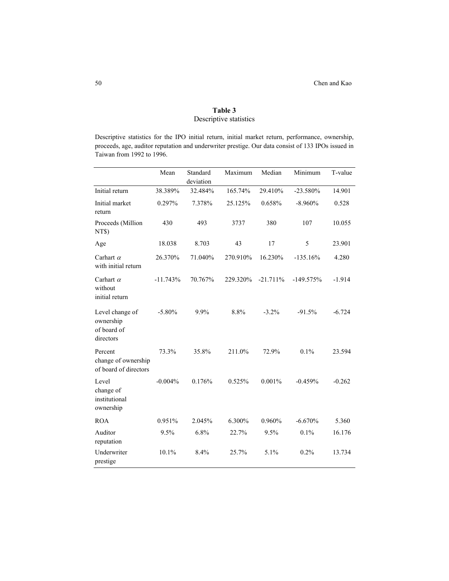# **Table 3**  Descriptive statistics

Descriptive statistics for the IPO initial return, initial market return, performance, ownership, proceeds, age, auditor reputation and underwriter prestige. Our data consist of 133 IPOs issued in Taiwan from 1992 to 1996.

|                                                          | Mean       | Standard<br>deviation | Maximum  | Median      | Minimum     | T-value  |
|----------------------------------------------------------|------------|-----------------------|----------|-------------|-------------|----------|
| Initial return                                           | 38.389%    | 32.484%               | 165.74%  | 29.410%     | $-23.580%$  | 14.901   |
| Initial market<br>return                                 | 0.297%     | 7.378%                | 25.125%  | 0.658%      | $-8.960%$   | 0.528    |
| Proceeds (Million<br>NT\$)                               | 430        | 493                   | 3737     | 380         | 107         | 10.055   |
| Age                                                      | 18.038     | 8.703                 | 43       | 17          | 5           | 23.901   |
| Carhart $\alpha$<br>with initial return                  | 26.370%    | 71.040%               | 270.910% | 16.230%     | $-135.16%$  | 4.280    |
| Carhart $\alpha$<br>without<br>initial return            | $-11.743%$ | 70.767%               | 229.320% | $-21.711\%$ | $-149.575%$ | $-1.914$ |
| Level change of<br>ownership<br>of board of<br>directors | $-5.80%$   | 9.9%                  | 8.8%     | $-3.2%$     | $-91.5%$    | $-6.724$ |
| Percent<br>change of ownership<br>of board of directors  | 73.3%      | 35.8%                 | 211.0%   | 72.9%       | $0.1\%$     | 23.594   |
| Level<br>change of<br>institutional<br>ownership         | $-0.004%$  | 0.176%                | 0.525%   | 0.001%      | $-0.459%$   | $-0.262$ |
| <b>ROA</b>                                               | 0.951%     | 2.045%                | 6.300%   | 0.960%      | $-6.670%$   | 5.360    |
| Auditor<br>reputation                                    | 9.5%       | 6.8%                  | 22.7%    | 9.5%        | 0.1%        | 16.176   |
| Underwriter<br>prestige                                  | 10.1%      | 8.4%                  | 25.7%    | 5.1%        | 0.2%        | 13.734   |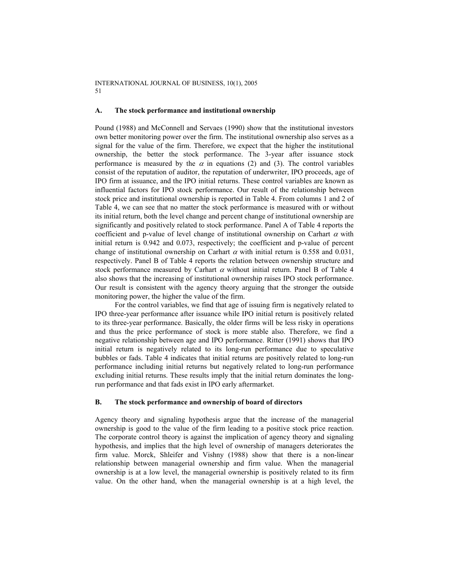#### **A. The stock performance and institutional ownership**

Pound (1988) and McConnell and Servaes (1990) show that the institutional investors own better monitoring power over the firm. The institutional ownership also serves as a signal for the value of the firm. Therefore, we expect that the higher the institutional ownership, the better the stock performance. The 3-year after issuance stock performance is measured by the  $\alpha$  in equations (2) and (3). The control variables consist of the reputation of auditor, the reputation of underwriter, IPO proceeds, age of IPO firm at issuance, and the IPO initial returns. These control variables are known as influential factors for IPO stock performance. Our result of the relationship between stock price and institutional ownership is reported in Table 4. From columns 1 and 2 of Table 4, we can see that no matter the stock performance is measured with or without its initial return, both the level change and percent change of institutional ownership are significantly and positively related to stock performance. Panel A of Table 4 reports the coefficient and p-value of level change of institutional ownership on Carhart  $\alpha$  with initial return is 0.942 and 0.073, respectively; the coefficient and p-value of percent change of institutional ownership on Carhart  $\alpha$  with initial return is 0.558 and 0.031, respectively. Panel B of Table 4 reports the relation between ownership structure and stock performance measured by Carhart  $\alpha$  without initial return. Panel B of Table 4 also shows that the increasing of institutional ownership raises IPO stock performance. Our result is consistent with the agency theory arguing that the stronger the outside monitoring power, the higher the value of the firm.

For the control variables, we find that age of issuing firm is negatively related to IPO three-year performance after issuance while IPO initial return is positively related to its three-year performance. Basically, the older firms will be less risky in operations and thus the price performance of stock is more stable also. Therefore, we find a negative relationship between age and IPO performance. Ritter (1991) shows that IPO initial return is negatively related to its long-run performance due to speculative bubbles or fads. Table 4 indicates that initial returns are positively related to long-run performance including initial returns but negatively related to long-run performance excluding initial returns. These results imply that the initial return dominates the longrun performance and that fads exist in IPO early aftermarket.

## **B. The stock performance and ownership of board of directors**

Agency theory and signaling hypothesis argue that the increase of the managerial ownership is good to the value of the firm leading to a positive stock price reaction. The corporate control theory is against the implication of agency theory and signaling hypothesis, and implies that the high level of ownership of managers deteriorates the firm value. Morck, Shleifer and Vishny (1988) show that there is a non-linear relationship between managerial ownership and firm value. When the managerial ownership is at a low level, the managerial ownership is positively related to its firm value. On the other hand, when the managerial ownership is at a high level, the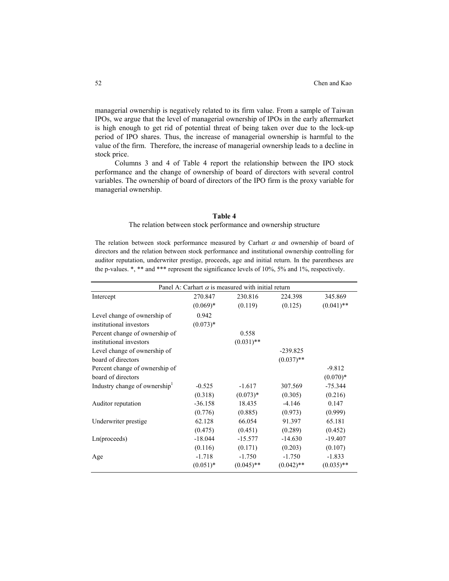managerial ownership is negatively related to its firm value. From a sample of Taiwan IPOs, we argue that the level of managerial ownership of IPOs in the early aftermarket is high enough to get rid of potential threat of being taken over due to the lock-up period of IPO shares. Thus, the increase of managerial ownership is harmful to the value of the firm. Therefore, the increase of managerial ownership leads to a decline in stock price.

Columns 3 and 4 of Table 4 report the relationship between the IPO stock performance and the change of ownership of board of directors with several control variables. The ownership of board of directors of the IPO firm is the proxy variable for managerial ownership.

## **Table 4**

#### The relation between stock performance and ownership structure

The relation between stock performance measured by Carhart  $\alpha$  and ownership of board of directors and the relation between stock performance and institutional ownership controlling for auditor reputation, underwriter prestige, proceeds, age and initial return. In the parentheses are the p-values. \*, \*\* and \*\*\* represent the significance levels of 10%, 5% and 1%, respectively.

| Panel A: Carhart $\alpha$ is measured with initial return |            |              |              |              |  |
|-----------------------------------------------------------|------------|--------------|--------------|--------------|--|
| Intercept                                                 | 270.847    | 230.816      | 224.398      | 345.869      |  |
|                                                           | $(0.069)*$ | (0.119)      | (0.125)      | $(0.041)$ ** |  |
| Level change of ownership of                              | 0.942      |              |              |              |  |
| institutional investors                                   | $(0.073)*$ |              |              |              |  |
| Percent change of ownership of                            |            | 0.558        |              |              |  |
| institutional investors                                   |            | $(0.031)$ ** |              |              |  |
| Level change of ownership of                              |            |              | $-239.825$   |              |  |
| board of directors                                        |            |              | $(0.037)$ ** |              |  |
| Percent change of ownership of                            |            |              |              | $-9.812$     |  |
| board of directors                                        |            |              |              | $(0.070)*$   |  |
| Industry change of ownership                              | $-0.525$   | $-1.617$     | 307.569      | $-75.344$    |  |
|                                                           | (0.318)    | $(0.073)*$   | (0.305)      | (0.216)      |  |
| Auditor reputation                                        | $-36.158$  | 18.435       | $-4.146$     | 0.147        |  |
|                                                           | (0.776)    | (0.885)      | (0.973)      | (0.999)      |  |
| Underwriter prestige                                      | 62.128     | 66.054       | 91.397       | 65.181       |  |
|                                                           | (0.475)    | (0.451)      | (0.289)      | (0.452)      |  |
| Ln(proceeds)                                              | $-18.044$  | $-15.577$    | $-14.630$    | $-19.407$    |  |
|                                                           | (0.116)    | (0.171)      | (0.203)      | (0.107)      |  |
| Age                                                       | $-1.718$   | $-1.750$     | $-1.750$     | $-1.833$     |  |
|                                                           | $(0.051)*$ | $(0.045)$ ** | $(0.042)$ ** | $(0.035)$ ** |  |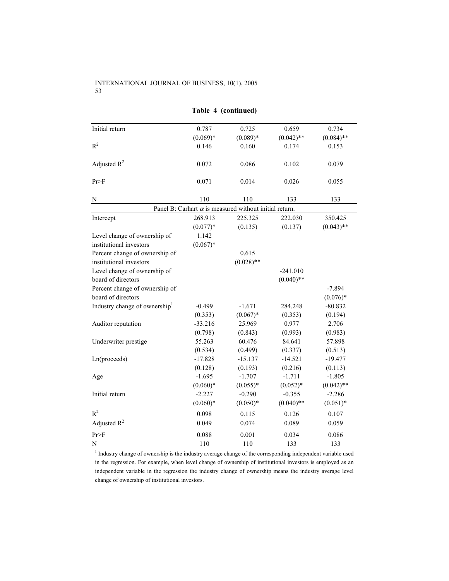| Initial return                            | 0.787      | 0.725                                                         | 0.659        | 0.734        |
|-------------------------------------------|------------|---------------------------------------------------------------|--------------|--------------|
|                                           | $(0.069)*$ | $(0.089)*$                                                    | $(0.042)$ ** | $(0.084)$ ** |
| $R^2$                                     | 0.146      | 0.160                                                         | 0.174        | 0.153        |
| Adjusted $R^2$                            | 0.072      | 0.086                                                         | 0.102        | 0.079        |
| Pr>F                                      | 0.071      | 0.014                                                         | 0.026        | 0.055        |
| N                                         | 110        | 110                                                           | 133          | 133          |
|                                           |            | Panel B: Carhart $\alpha$ is measured without initial return. |              |              |
| Intercept                                 | 268.913    | 225.325                                                       | 222.030      | 350.425      |
|                                           | $(0.077)*$ | (0.135)                                                       | (0.137)      | $(0.043)$ ** |
| Level change of ownership of              | 1.142      |                                                               |              |              |
| institutional investors                   | $(0.067)*$ |                                                               |              |              |
| Percent change of ownership of            |            | 0.615                                                         |              |              |
| institutional investors                   |            | $(0.028)$ **                                                  |              |              |
| Level change of ownership of              |            |                                                               | $-241.010$   |              |
| board of directors                        |            |                                                               | $(0.040)$ ** |              |
| Percent change of ownership of            |            |                                                               |              | $-7.894$     |
| board of directors                        |            |                                                               |              | $(0.076)*$   |
| Industry change of ownership <sup>1</sup> | $-0.499$   | $-1.671$                                                      | 284.248      | $-80.832$    |
|                                           | (0.353)    | $(0.067)*$                                                    | (0.353)      | (0.194)      |
| Auditor reputation                        | $-33.216$  | 25.969                                                        | 0.977        | 2.706        |
|                                           | (0.798)    | (0.843)                                                       | (0.993)      | (0.983)      |
| Underwriter prestige                      | 55.263     | 60.476                                                        | 84.641       | 57.898       |
|                                           | (0.534)    | (0.499)                                                       | (0.337)      | (0.513)      |
| Ln(proceeds)                              | $-17.828$  | $-15.137$                                                     | $-14.521$    | $-19.477$    |
|                                           | (0.128)    | (0.193)                                                       | (0.216)      | (0.113)      |
| Age                                       | $-1.695$   | $-1.707$                                                      | $-1.711$     | $-1.805$     |
|                                           | $(0.060)*$ | $(0.055)*$                                                    | $(0.052)*$   | $(0.042)$ ** |
| Initial return                            | $-2.227$   | $-0.290$                                                      | $-0.355$     | $-2.286$     |
|                                           | $(0.060)*$ | $(0.050)*$                                                    | $(0.040)$ ** | $(0.051)*$   |
| $R^2$                                     | 0.098      | 0.115                                                         | 0.126        | 0.107        |
| Adjusted $R^2$                            | 0.049      | 0.074                                                         | 0.089        | 0.059        |
| Pr>F                                      | 0.088      | 0.001                                                         | 0.034        | 0.086        |
| N                                         | 110        | 110                                                           | 133          | 133          |

# **Table 4 (continued)**

<sup>1</sup> Industry change of ownership is the industry average change of the corresponding independent variable used in the regression. For example, when level change of ownership of institutional investors is employed as an independent variable in the regression the industry change of ownership means the industry average level change of ownership of institutional investors.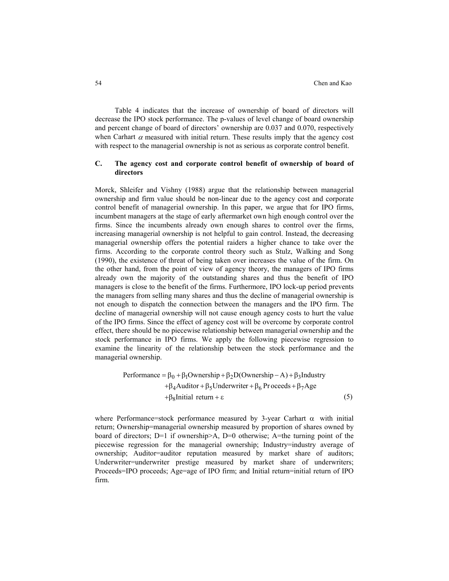Table 4 indicates that the increase of ownership of board of directors will decrease the IPO stock performance. The p-values of level change of board ownership and percent change of board of directors' ownership are 0.037 and 0.070, respectively when Carhart  $\alpha$  measured with initial return. These results imply that the agency cost with respect to the managerial ownership is not as serious as corporate control benefit.

## **C. The agency cost and corporate control benefit of ownership of board of directors**

Morck, Shleifer and Vishny (1988) argue that the relationship between managerial ownership and firm value should be non-linear due to the agency cost and corporate control benefit of managerial ownership. In this paper, we argue that for IPO firms, incumbent managers at the stage of early aftermarket own high enough control over the firms. Since the incumbents already own enough shares to control over the firms, increasing managerial ownership is not helpful to gain control. Instead, the decreasing managerial ownership offers the potential raiders a higher chance to take over the firms. According to the corporate control theory such as Stulz, Walking and Song (1990), the existence of threat of being taken over increases the value of the firm. On the other hand, from the point of view of agency theory, the managers of IPO firms already own the majority of the outstanding shares and thus the benefit of IPO managers is close to the benefit of the firms. Furthermore, IPO lock-up period prevents the managers from selling many shares and thus the decline of managerial ownership is not enough to dispatch the connection between the managers and the IPO firm. The decline of managerial ownership will not cause enough agency costs to hurt the value of the IPO firms. Since the effect of agency cost will be overcome by corporate control effect, there should be no piecewise relationship between managerial ownership and the stock performance in IPO firms. We apply the following piecewise regression to examine the linearity of the relationship between the stock performance and the managerial ownership.

Performance = 
$$
β_0 + β_1
$$
Ownership +  $β_2D$ (Ownership – A) +  $β_3$ Industry  
+ $β_4$ Auditor +  $β_5$ Underwriter +  $β_6$  Proceeds +  $β_7$ Age  
+ $β_8$ Initial return + ε (5)

where Performance=stock performance measured by 3-year Carhart  $\alpha$  with initial return; Ownership=managerial ownership measured by proportion of shares owned by board of directors; D=1 if ownership>A, D=0 otherwise; A=the turning point of the piecewise regression for the managerial ownership; Industry=industry average of ownership; Auditor=auditor reputation measured by market share of auditors; Underwriter=underwriter prestige measured by market share of underwriters; Proceeds=IPO proceeds; Age=age of IPO firm; and Initial return=initial return of IPO firm.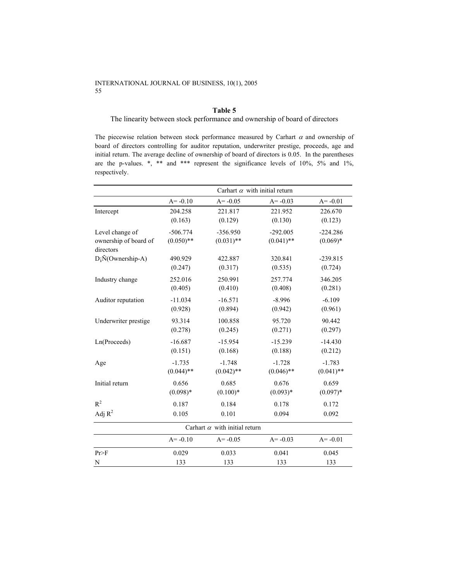## **Table 5**

The linearity between stock performance and ownership of board of directors

The piecewise relation between stock performance measured by Carhart  $\alpha$  and ownership of board of directors controlling for auditor reputation, underwriter prestige, proceeds, age and initial return. The average decline of ownership of board of directors is 0.05. In the parentheses are the p-values. \*, \*\* and \*\*\* represent the significance levels of 10%, 5% and 1%, respectively.

|                                                       | Carhart $\alpha$ with initial return |                                      |                            |                          |  |
|-------------------------------------------------------|--------------------------------------|--------------------------------------|----------------------------|--------------------------|--|
|                                                       | $A = -0.10$                          | $A = -0.05$                          | $A = -0.03$                | $A = -0.01$              |  |
| Intercept                                             | 204.258<br>(0.163)                   | 221.817<br>(0.129)                   | 221.952<br>(0.130)         | 226.670<br>(0.123)       |  |
| Level change of<br>ownership of board of<br>directors | $-506.774$<br>$(0.050)$ **           | $-356.950$<br>$(0.031)$ **           | $-292.005$<br>$(0.041)$ ** | $-224.286$<br>$(0.069)*$ |  |
| D <sub>i</sub> Ñ(Ownership-A)                         | 490.929<br>(0.247)                   | 422.887<br>(0.317)                   | 320.841<br>(0.535)         | $-239.815$<br>(0.724)    |  |
| Industry change                                       | 252.016<br>(0.405)                   | 250.991<br>(0.410)                   | 257.774<br>(0.408)         | 346.205<br>(0.281)       |  |
| Auditor reputation                                    | $-11.034$<br>(0.928)                 | $-16.571$<br>(0.894)                 | $-8.996$<br>(0.942)        | $-6.109$<br>(0.961)      |  |
| Underwriter prestige                                  | 93.314<br>(0.278)                    | 100.858<br>(0.245)                   | 95.720<br>(0.271)          | 90.442<br>(0.297)        |  |
| Ln(Proceeds)                                          | $-16.687$<br>(0.151)                 | $-15.954$<br>(0.168)                 | $-15.239$<br>(0.188)       | $-14.430$<br>(0.212)     |  |
| Age                                                   | $-1.735$<br>$(0.044)$ **             | $-1.748$<br>$(0.042)$ **             | $-1.728$<br>$(0.046)$ **   | $-1.783$<br>$(0.041)$ ** |  |
| Initial return                                        | 0.656<br>$(0.098)*$                  | 0.685<br>$(0.100)*$                  | 0.676<br>$(0.093)*$        | 0.659<br>$(0.097)*$      |  |
| $R^2$                                                 | 0.187                                | 0.184                                | 0.178                      | 0.172                    |  |
| Adj $R^2$                                             | 0.105                                | 0.101                                | 0.094                      | 0.092                    |  |
|                                                       |                                      | Carhart $\alpha$ with initial return |                            |                          |  |
|                                                       | $A = -0.10$                          | $A = -0.05$                          | $A = -0.03$                | $A = -0.01$              |  |
| Pr>F                                                  | 0.029                                | 0.033                                | 0.041                      | 0.045                    |  |
| N                                                     | 133                                  | 133                                  | 133                        | 133                      |  |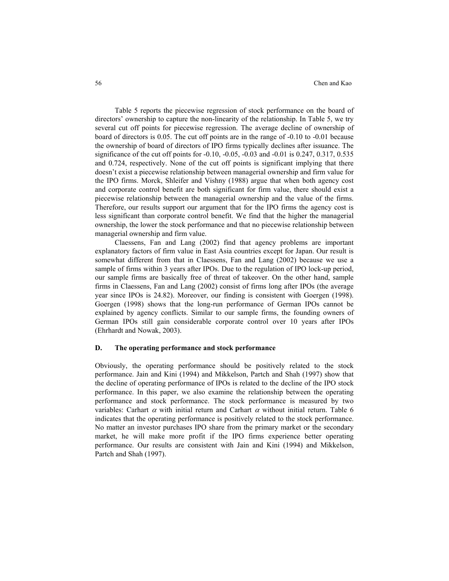Table 5 reports the piecewise regression of stock performance on the board of directors' ownership to capture the non-linearity of the relationship. In Table 5, we try several cut off points for piecewise regression. The average decline of ownership of board of directors is 0.05. The cut off points are in the range of -0.10 to -0.01 because the ownership of board of directors of IPO firms typically declines after issuance. The significance of the cut off points for -0.10, -0.05, -0.03 and -0.01 is 0.247, 0.317, 0.535 and 0.724, respectively. None of the cut off points is significant implying that there doesn't exist a piecewise relationship between managerial ownership and firm value for the IPO firms. Morck, Shleifer and Vishny (1988) argue that when both agency cost and corporate control benefit are both significant for firm value, there should exist a piecewise relationship between the managerial ownership and the value of the firms. Therefore, our results support our argument that for the IPO firms the agency cost is less significant than corporate control benefit. We find that the higher the managerial ownership, the lower the stock performance and that no piecewise relationship between managerial ownership and firm value.

Claessens, Fan and Lang (2002) find that agency problems are important explanatory factors of firm value in East Asia countries except for Japan. Our result is somewhat different from that in Claessens, Fan and Lang (2002) because we use a sample of firms within 3 years after IPOs. Due to the regulation of IPO lock-up period, our sample firms are basically free of threat of takeover. On the other hand, sample firms in Claessens, Fan and Lang (2002) consist of firms long after IPOs (the average year since IPOs is 24.82). Moreover, our finding is consistent with Goergen (1998). Goergen (1998) shows that the long-run performance of German IPOs cannot be explained by agency conflicts. Similar to our sample firms, the founding owners of German IPOs still gain considerable corporate control over 10 years after IPOs (Ehrhardt and Nowak, 2003).

## **D. The operating performance and stock performance**

Obviously, the operating performance should be positively related to the stock performance. Jain and Kini (1994) and Mikkelson, Partch and Shah (1997) show that the decline of operating performance of IPOs is related to the decline of the IPO stock performance. In this paper, we also examine the relationship between the operating performance and stock performance. The stock performance is measured by two variables: Carhart  $\alpha$  with initial return and Carhart  $\alpha$  without initial return. Table 6 indicates that the operating performance is positively related to the stock performance. No matter an investor purchases IPO share from the primary market or the secondary market, he will make more profit if the IPO firms experience better operating performance. Our results are consistent with Jain and Kini (1994) and Mikkelson, Partch and Shah (1997).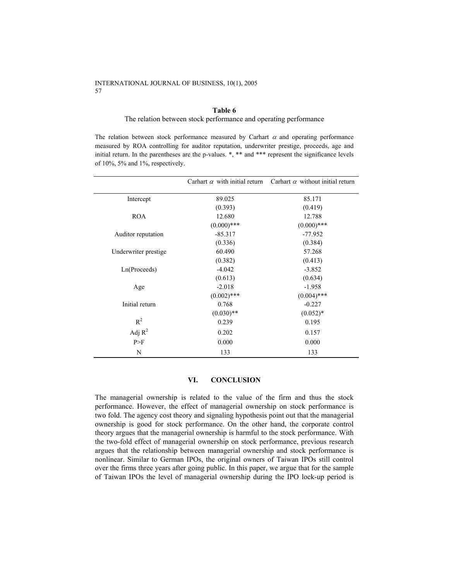#### **Table 6**

## The relation between stock performance and operating performance

The relation between stock performance measured by Carhart  $\alpha$  and operating performance measured by ROA controlling for auditor reputation, underwriter prestige, proceeds, age and initial return. In the parentheses are the p-values. \*, \*\* and \*\*\* represent the significance levels of 10%, 5% and 1%, respectively.

|                      | Carhart $\alpha$ with initial return | Carhart $\alpha$ without initial return |
|----------------------|--------------------------------------|-----------------------------------------|
| Intercept            | 89.025                               | 85.171                                  |
|                      | (0.393)                              | (0.419)                                 |
| <b>ROA</b>           | 12.680                               | 12.788                                  |
|                      | $(0.000)$ ***                        | $(0.000)$ ***                           |
| Auditor reputation   | $-85.317$                            | $-77.952$                               |
|                      | (0.336)                              | (0.384)                                 |
| Underwriter prestige | 60.490                               | 57.268                                  |
|                      | (0.382)                              | (0.413)                                 |
| Ln(Proceeds)         | $-4.042$                             | $-3.852$                                |
|                      | (0.613)                              | (0.634)                                 |
| Age                  | $-2.018$                             | $-1.958$                                |
|                      | $(0.002)$ ***                        | $(0.004)$ ***                           |
| Initial return       | 0.768                                | $-0.227$                                |
|                      | $(0.030)$ **                         | $(0.052)*$                              |
| $R^2$                | 0.239                                | 0.195                                   |
| Adj $R^2$            | 0.202                                | 0.157                                   |
| P>F                  | 0.000                                | 0.000                                   |
| N                    | 133                                  | 133                                     |

## **VI. CONCLUSION**

The managerial ownership is related to the value of the firm and thus the stock performance. However, the effect of managerial ownership on stock performance is two fold. The agency cost theory and signaling hypothesis point out that the managerial ownership is good for stock performance. On the other hand, the corporate control theory argues that the managerial ownership is harmful to the stock performance. With the two-fold effect of managerial ownership on stock performance, previous research argues that the relationship between managerial ownership and stock performance is nonlinear. Similar to German IPOs, the original owners of Taiwan IPOs still control over the firms three years after going public. In this paper, we argue that for the sample of Taiwan IPOs the level of managerial ownership during the IPO lock-up period is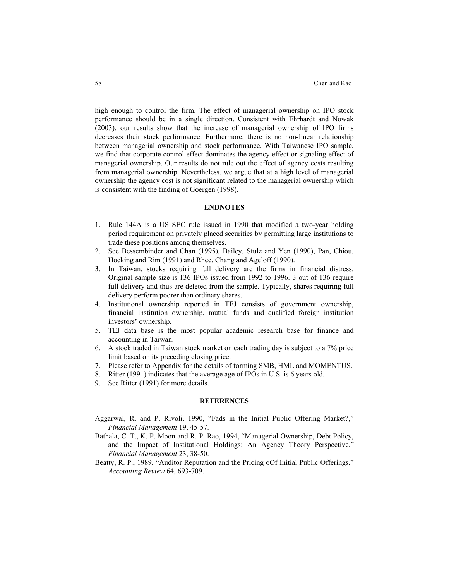high enough to control the firm. The effect of managerial ownership on IPO stock performance should be in a single direction. Consistent with Ehrhardt and Nowak (2003), our results show that the increase of managerial ownership of IPO firms decreases their stock performance. Furthermore, there is no non-linear relationship between managerial ownership and stock performance. With Taiwanese IPO sample, we find that corporate control effect dominates the agency effect or signaling effect of managerial ownership. Our results do not rule out the effect of agency costs resulting from managerial ownership. Nevertheless, we argue that at a high level of managerial ownership the agency cost is not significant related to the managerial ownership which is consistent with the finding of Goergen (1998).

#### **ENDNOTES**

- 1. Rule 144A is a US SEC rule issued in 1990 that modified a two-year holding period requirement on privately placed securities by permitting large institutions to trade these positions among themselves.
- 2. See Bessembinder and Chan (1995), Bailey, Stulz and Yen (1990), Pan, Chiou, Hocking and Rim (1991) and Rhee, Chang and Ageloff (1990).
- 3. In Taiwan, stocks requiring full delivery are the firms in financial distress. Original sample size is 136 IPOs issued from 1992 to 1996. 3 out of 136 require full delivery and thus are deleted from the sample. Typically, shares requiring full delivery perform poorer than ordinary shares.
- 4. Institutional ownership reported in TEJ consists of government ownership, financial institution ownership, mutual funds and qualified foreign institution investors' ownership.
- 5. TEJ data base is the most popular academic research base for finance and accounting in Taiwan.
- 6. A stock traded in Taiwan stock market on each trading day is subject to a 7% price limit based on its preceding closing price.
- 7. Please refer to Appendix for the details of forming SMB, HML and MOMENTUS.
- 8. Ritter (1991) indicates that the average age of IPOs in U.S. is 6 years old.
- 9. See Ritter (1991) for more details.

#### **REFERENCES**

- Aggarwal, R. and P. Rivoli, 1990, "Fads in the Initial Public Offering Market?," *Financial Management* 19, 45-57.
- Bathala, C. T., K. P. Moon and R. P. Rao, 1994, "Managerial Ownership, Debt Policy, and the Impact of Institutional Holdings: An Agency Theory Perspective," *Financial Management* 23, 38-50.
- Beatty, R. P., 1989, "Auditor Reputation and the Pricing oOf Initial Public Offerings," *Accounting Review* 64, 693-709.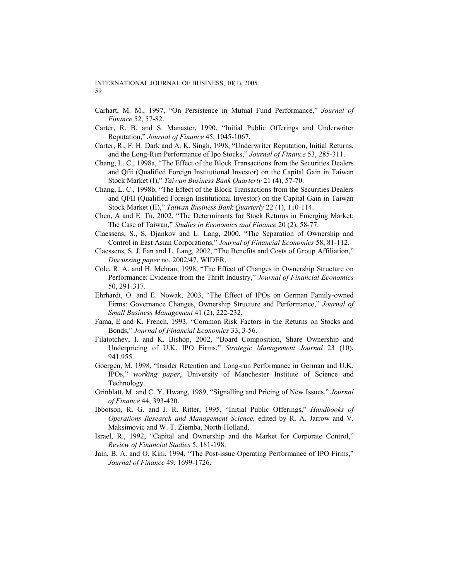- Carhart, M. M., 1997, "On Persistence in Mutual Fund Performance," *Journal of Finance* 52, 57-82.
- Carter, R. B. and S. Manaster, 1990, "Initial Public Offerings and Underwriter Reputation," *Journal of Finance* 45, 1045-1067.
- Carter, R., F. H. Dark and A. K. Singh, 1998, "Underwriter Reputation, Initial Returns, and the Long-Run Performance of Ipo Stocks," *Journal of Finance* 53, 285-311.
- Chang, L. C., 1998a, "The Effect of the Block Transactions from the Securities Dealers and Qfii (Qualified Foreign Institutional Investor) on the Capital Gain in Taiwan Stock Market (I)," *Taiwan Business Bank Quarterly* 21 (4), 57-70.
- Chang, L. C., 1998b, "The Effect of the Block Transactions from the Securities Dealers and QFII (Qualified Foreign Institutional Investor) on the Capital Gain in Taiwan Stock Market (II)," *Taiwan Business Bank Quarterly* 22 (1), 110-114.
- Chen, A and E. Tu, 2002, "The Determinants for Stock Returns in Emerging Market: The Case of Taiwan," *Studies in Economics and Finance* 20 (2), 58-77.
- Claessens, S., S. Djankov and L. Lang, 2000, "The Separation of Ownership and Control in East Asian Corporations," *Journal of Financial Economics* 58, 81-112.
- Claessens, S. J. Fan and L. Lang, 2002, "The Benefits and Costs of Group Affiliation," *Discussing paper* no. 2002/47, WIDER.
- Cole, R. A. and H. Mehran, 1998, "The Effect of Changes in Ownership Structure on Performance: Evidence from the Thrift Industry," *Journal of Financial Economics* 50, 291-317.
- Ehrhardt, O. and E. Nowak, 2003, "The Effect of IPOs on German Family-owned Firms: Governance Changes, Ownership Structure and Performance," *Journal of Small Business Management* 41 (2), 222-232.
- Fama, E and K. French, 1993, "Common Risk Factors in the Returns on Stocks and Bonds," *Journal of Financial Economics* 33, 3-56.
- Filatotchev, I. and K. Bishop, 2002, "Board Composition, Share Ownership and Underpricing of U.K. IPO Firms," *Strategic Management Journal* 23 (10), 941.955.
- Goergen, M, 1998, "Insider Retention and Long-run Performance in German and U.K. IPOs," *working paper*, University of Manchester Institute of Science and Technology.
- Grinblatt, M. and C. Y. Hwang, 1989, "Signalling and Pricing of New Issues," *Journal of Finance* 44, 393-420.
- Ibbotson, R. G. and J. R. Ritter, 1995, "Initial Public Offerings," *Handbooks of Operations Research and Management Science,* edited by R. A. Jarrow and V. Maksimovic and W. T. Ziemba, North-Holland.
- Israel, R., 1992, "Capital and Ownership and the Market for Corporate Control," *Review of Financial Studies* 5, 181-198.
- Jain, B. A. and O. Kini, 1994, "The Post-issue Operating Performance of IPO Firms," *Journal of Finance* 49, 1699-1726.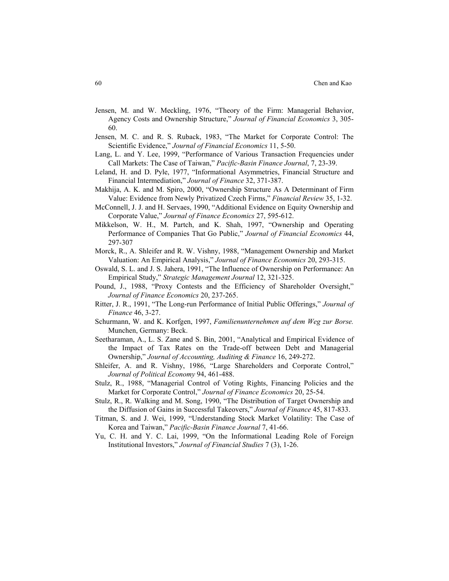- Jensen, M. and W. Meckling, 1976, "Theory of the Firm: Managerial Behavior, Agency Costs and Ownership Structure," *Journal of Financial Economics* 3, 305- 60.
- Jensen, M. C. and R. S. Ruback, 1983, "The Market for Corporate Control: The Scientific Evidence," *Journal of Financial Economics* 11, 5-50.
- Lang, L. and Y. Lee, 1999, "Performance of Various Transaction Frequencies under Call Markets: The Case of Taiwan," *Pacific-Basin Finance Journal*, 7, 23-39.
- Leland, H. and D. Pyle, 1977, "Informational Asymmetries, Financial Structure and Financial Intermediation," *Journal of Finance* 32, 371-387.
- Makhija, A. K. and M. Spiro, 2000, "Ownership Structure As A Determinant of Firm Value: Evidence from Newly Privatized Czech Firms," *Financial Review* 35, 1-32.
- McConnell, J. J. and H. Servaes, 1990, "Additional Evidence on Equity Ownership and Corporate Value," *Journal of Finance Economics* 27, 595-612.
- Mikkelson, W. H., M. Partch, and K. Shah, 1997, "Ownership and Operating Performance of Companies That Go Public," *Journal of Financial Economics* 44, 297-307
- Morck, R., A. Shleifer and R. W. Vishny, 1988, "Management Ownership and Market Valuation: An Empirical Analysis," *Journal of Finance Economics* 20, 293-315.
- Oswald, S. L. and J. S. Jahera, 1991, "The Influence of Ownership on Performance: An Empirical Study," *Strategic Management Journal* 12, 321-325.
- Pound, J., 1988, "Proxy Contests and the Efficiency of Shareholder Oversight," *Journal of Finance Economics* 20, 237-265.
- Ritter, J. R., 1991, "The Long-run Performance of Initial Public Offerings," *Journal of Finance* 46, 3-27.
- Schurmann, W. and K. Korfgen, 1997, *Familienunternehmen auf dem Weg zur Borse.* Munchen, Germany: Beck.
- Seetharaman, A., L. S. Zane and S. Bin, 2001, "Analytical and Empirical Evidence of the Impact of Tax Rates on the Trade-off between Debt and Managerial Ownership," *Journal of Accounting, Auditing & Finance* 16, 249-272.
- Shleifer, A. and R. Vishny, 1986, "Large Shareholders and Corporate Control," *Journal of Political Economy* 94, 461-488.
- Stulz, R., 1988, "Managerial Control of Voting Rights, Financing Policies and the Market for Corporate Control," *Journal of Finance Economics* 20, 25-54.
- Stulz, R., R. Walking and M. Song, 1990, "The Distribution of Target Ownership and the Diffusion of Gains in Successful Takeovers," *Journal of Finance* 45, 817-833.
- Titman, S. and J. Wei, 1999, "Understanding Stock Market Volatility: The Case of Korea and Taiwan," *Pacific-Basin Finance Journal* 7, 41-66.
- Yu, C. H. and Y. C. Lai, 1999, "On the Informational Leading Role of Foreign Institutional Investors," *Journal of Financial Studies* 7 (3), 1-26.